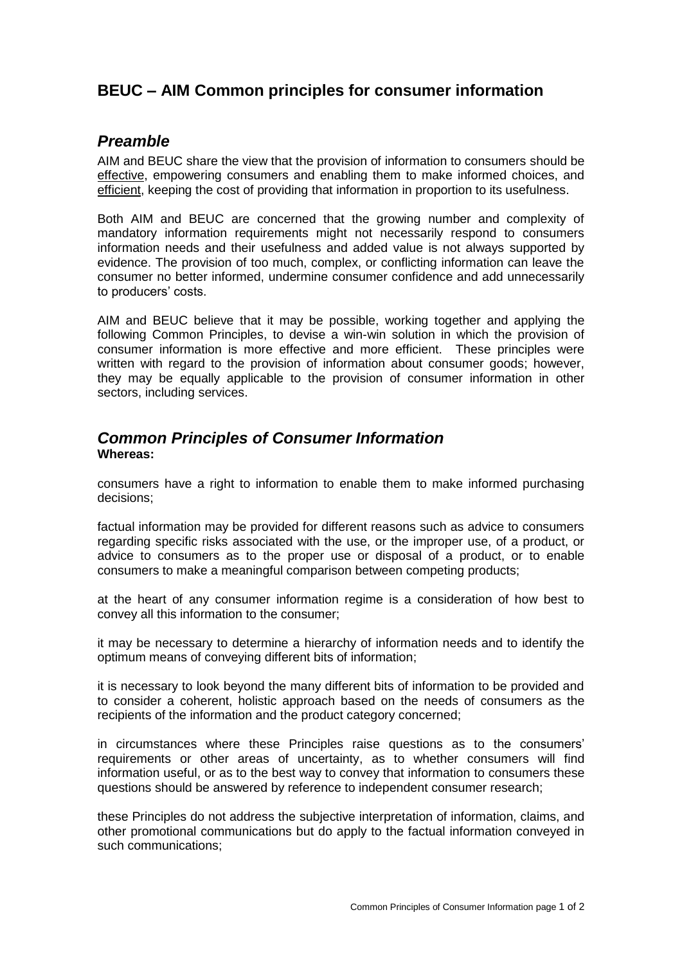# **BEUC – AIM Common principles for consumer information**

# *Preamble*

AIM and BEUC share the view that the provision of information to consumers should be effective, empowering consumers and enabling them to make informed choices, and efficient, keeping the cost of providing that information in proportion to its usefulness.

Both AIM and BEUC are concerned that the growing number and complexity of mandatory information requirements might not necessarily respond to consumers information needs and their usefulness and added value is not always supported by evidence. The provision of too much, complex, or conflicting information can leave the consumer no better informed, undermine consumer confidence and add unnecessarily to producers' costs.

AIM and BEUC believe that it may be possible, working together and applying the following Common Principles, to devise a win-win solution in which the provision of consumer information is more effective and more efficient. These principles were written with regard to the provision of information about consumer goods; however, they may be equally applicable to the provision of consumer information in other sectors, including services.

## *Common Principles of Consumer Information* **Whereas:**

consumers have a right to information to enable them to make informed purchasing decisions;

factual information may be provided for different reasons such as advice to consumers regarding specific risks associated with the use, or the improper use, of a product, or advice to consumers as to the proper use or disposal of a product, or to enable consumers to make a meaningful comparison between competing products;

at the heart of any consumer information regime is a consideration of how best to convey all this information to the consumer;

it may be necessary to determine a hierarchy of information needs and to identify the optimum means of conveying different bits of information;

it is necessary to look beyond the many different bits of information to be provided and to consider a coherent, holistic approach based on the needs of consumers as the recipients of the information and the product category concerned;

in circumstances where these Principles raise questions as to the consumers' requirements or other areas of uncertainty, as to whether consumers will find information useful, or as to the best way to convey that information to consumers these questions should be answered by reference to independent consumer research;

these Principles do not address the subjective interpretation of information, claims, and other promotional communications but do apply to the factual information conveyed in such communications;